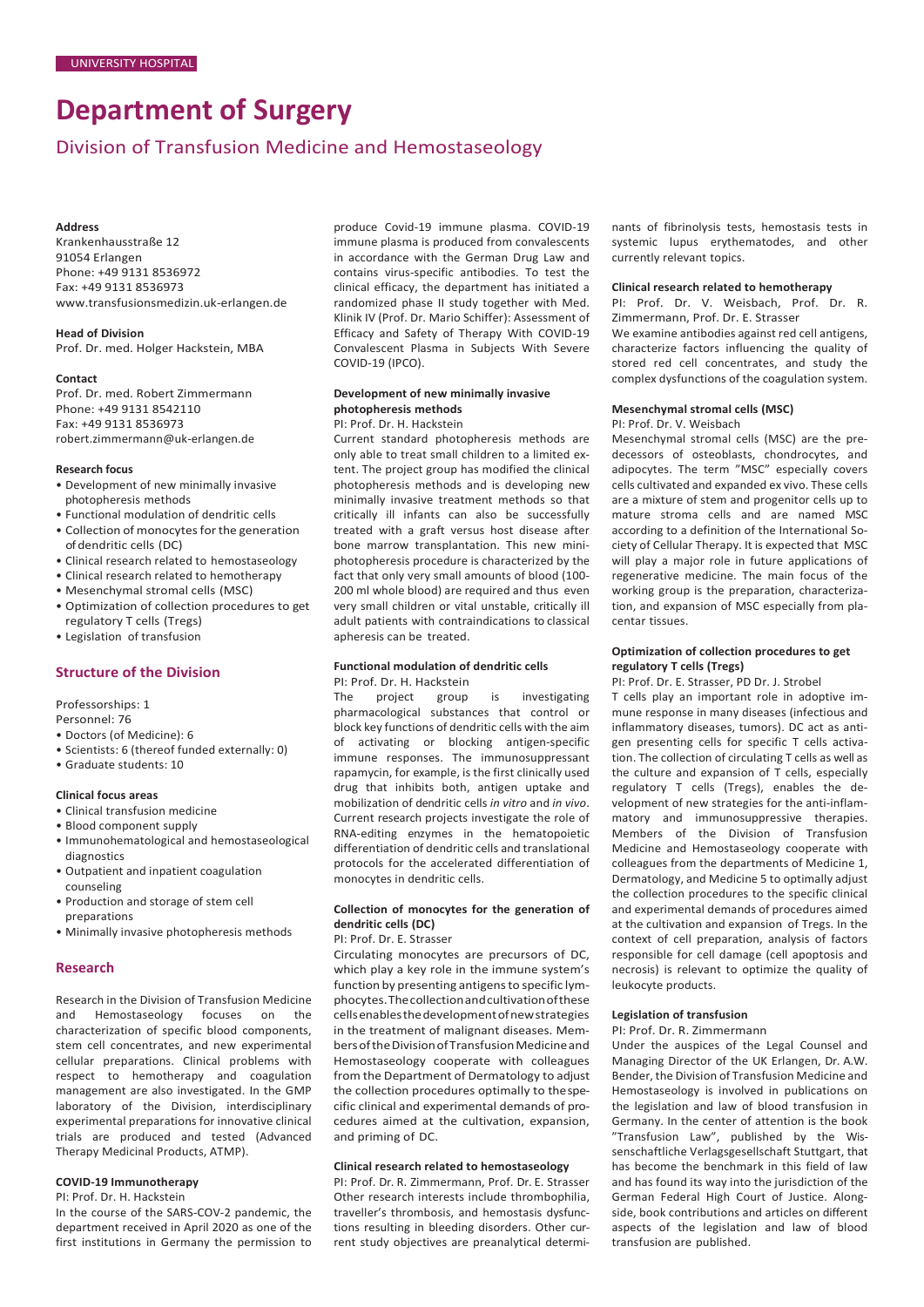# **Department of Surgery**

# Division of Transfusion Medicine and Hemostaseology

### **Address**

Krankenhausstraße 12 91054 Erlangen Phone: +49 9131 8536972 Fax: +49 9131 8536973 [www.transfusionsmedizin.uk-erlangen.de](http://www.transfusionsmedizin.uk-erlangen.de/)

#### **Head of Division** Prof. Dr. med. Holger Hackstein, MBA

#### **Contact**

Prof. Dr. med. Robert Zimmermann Phone: +49 9131 8542110 Fax: +49 9131 8536973 [robert.zimmermann@uk-erlangen.de](mailto:robert.zimmermann@uk-erlangen.de)

#### **Research focus**

- Development of new minimally invasive photopheresis methods
- Functional modulation of dendritic cells
- Collection of monocytes for the generation of dendritic cells (DC)
- Clinical research related to hemostaseology
- Clinical research related to hemotherapy
- Mesenchymal stromal cells (MSC)
- Optimization of collection procedures to get regulatory T cells (Tregs)
- Legislation of transfusion

### **Structure of the Division**

Professorships: 1

Personnel: 76

- Doctors (of Medicine): 6
- Scientists: 6 (thereof funded externally: 0)
- Graduate students: 10

#### **Clinical focus areas**

- Clinical transfusion medicine
- Blood component supply
- Immunohematological and hemostaseological diagnostics
- Outpatient and inpatient coagulation counseling
- Production and storage of stem cell preparations
- Minimally invasive photopheresis methods

# **Research**

Research in the Division of Transfusion Medicine and Hemostaseology focuses on the characterization of specific blood components, stem cell concentrates, and new experimental cellular preparations. Clinical problems with respect to hemotherapy and coagulation management are also investigated. In the GMP laboratory of the Division, interdisciplinary experimental preparations for innovative clinical trials are produced and tested (Advanced Therapy Medicinal Products, ATMP).

# **COVID-19 Immunotherapy**

PI: Prof. Dr. H. Hackstein

In the course of the SARS-COV-2 pandemic, the department received in April 2020 as one of the first institutions in Germany the permission to produce Covid-19 immune plasma. COVID-19 immune plasma is produced from convalescents in accordance with the German Drug Law and contains virus-specific antibodies. To test the clinical efficacy, the department has initiated a randomized phase II study together with Med. Klinik IV (Prof. Dr. Mario Schiffer): Assessment of Efficacy and Safety of Therapy With COVID-19 Convalescent Plasma in Subjects With Severe COVID-19 (IPCO).

# **Development of new minimally invasive photopheresis methods**

# PI: Prof. Dr. H. Hackstein

Current standard photopheresis methods are only able to treat small children to a limited extent. The project group has modified the clinical photopheresis methods and is developing new minimally invasive treatment methods so that critically ill infants can also be successfully treated with a graft versus host disease after bone marrow transplantation. This new miniphotopheresis procedure is characterized by the fact that only very small amounts of blood (100- 200 ml whole blood) are required and thus even very small children or vital unstable, critically ill adult patients with contraindications to classical apheresis can be treated.

# **Functional modulation of dendritic cells** PI: Prof. Dr. H. Hackstein<br>The project group

The project group is investigating pharmacological substances that control or block key functions of dendritic cells with the aim of activating or blocking antigen-specific immune responses. The immunosuppressant rapamycin, for example, is the first clinically used drug that inhibits both, antigen uptake and mobilization of dendritic cells *in vitro* and *in vivo*. Current research projects investigate the role of RNA-editing enzymes in the hematopoietic differentiation of dendritic cells and translational protocols for the accelerated differentiation of monocytes in dendritic cells.

### **Collection of monocytes for the generation of dendritic cells (DC)**

PI: Prof. Dr. E. Strasser

Circulating monocytes are precursors of DC, which play a key role in the immune system's function by presenting antigens to specific lymphocytes.Thecollectionandcultivationofthese cellsenablesthedevelopmentofnewstrategies in the treatment of malignant diseases. Members of the Division of Transfusion Medicine and Hemostaseology cooperate with colleagues from the Department of Dermatology to adjust the collection procedures optimally to thespecific clinical and experimental demands of procedures aimed at the cultivation, expansion, and priming of DC.

#### **Clinical research related to hemostaseology**

PI: Prof. Dr. R. Zimmermann, Prof. Dr. E. Strasser Other research interests include thrombophilia, traveller's thrombosis, and hemostasis dysfunctions resulting in bleeding disorders. Other current study objectives are preanalytical determi-

nants of fibrinolysis tests, hemostasis tests in systemic lupus erythematodes, and other currently relevant topics.

#### **Clinical research related to hemotherapy**

PI: Prof. Dr. V. Weisbach, Prof. Dr. R. Zimmermann, Prof. Dr. E. Strasser We examine antibodies against red cell antigens, characterize factors influencing the quality of stored red cell concentrates, and study the complex dysfunctions of the coagulation system.

# **Mesenchymal stromal cells (MSC)**

PI: Prof. Dr. V. Weisbach

Mesenchymal stromal cells (MSC) are the predecessors of osteoblasts, chondrocytes, and adipocytes. The term "MSC" especially covers cells cultivated and expanded ex vivo. These cells are a mixture of stem and progenitor cells up to mature stroma cells and are named MSC according to a definition of the International Society of Cellular Therapy. It is expected that MSC will play a major role in future applications of regenerative medicine. The main focus of the working group is the preparation, characterization, and expansion of MSC especially from placentar tissues.

## **Optimization of collection procedures to get regulatory T cells (Tregs)**

PI: Prof. Dr. E. Strasser, PD Dr. J. Strobel

T cells play an important role in adoptive immune response in many diseases (infectious and inflammatory diseases, tumors). DC act as antigen presenting cells for specific T cells activation. The collection of circulating T cells as well as the culture and expansion of T cells, especially regulatory T cells (Tregs), enables the development of new strategies for the anti-inflammatory and immunosuppressive therapies. Members of the Division of Transfusion Medicine and Hemostaseology cooperate with colleagues from the departments of Medicine 1, Dermatology, and Medicine 5 to optimally adjust the collection procedures to the specific clinical and experimental demands of procedures aimed at the cultivation and expansion of Tregs. In the context of cell preparation, analysis of factors responsible for cell damage (cell apoptosis and necrosis) is relevant to optimize the quality of leukocyte products.

#### **Legislation of transfusion**

PI: Prof. Dr. R. Zimmermann

Under the auspices of the Legal Counsel and Managing Director of the UK Erlangen, Dr. A.W. Bender, the Division of Transfusion Medicine and Hemostaseology is involved in publications on the legislation and law of blood transfusion in Germany. In the center of attention is the book "Transfusion Law", published by the Wissenschaftliche Verlagsgesellschaft Stuttgart, that has become the benchmark in this field of law and has found its way into the jurisdiction of the German Federal High Court of Justice. Alongside, book contributions and articles on different aspects of the legislation and law of blood transfusion are published.